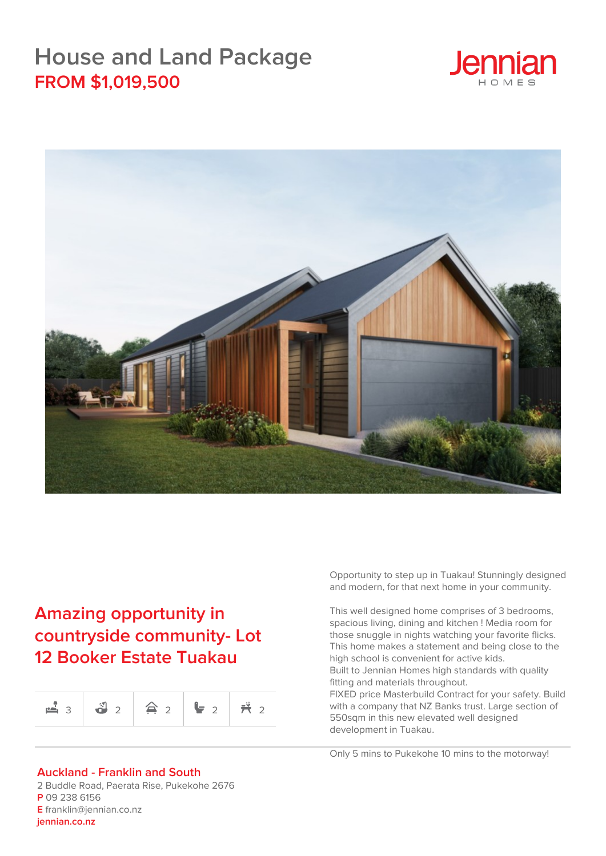## **House and Land Package FROM \$1,019,500**





## **Amazing opportunity in countryside community- Lot 12 Booker Estate Tuakau**

|  | $\mathbf{a}_3$ $\mathbf{a}_2$ $\mathbf{a}_3$ $\mathbf{a}_2$ $\mathbf{a}_3$ $\mathbf{a}_4$ |  |  |  |
|--|-------------------------------------------------------------------------------------------|--|--|--|
|--|-------------------------------------------------------------------------------------------|--|--|--|

## **Auckland - Franklin and South**

2 Buddle Road, Paerata Rise, Pukekohe 2676 **P** 09 238 6156 **E** franklin@jennian.co.nz **[jennian.co.nz](https://jennian.co.nz)**

Opportunity to step up in Tuakau! Stunningly designed and modern, for that next home in your community.

This well designed home comprises of 3 bedrooms, spacious living, dining and kitchen ! Media room for those snuggle in nights watching your favorite flicks. This home makes a statement and being close to the high school is convenient for active kids. Built to Jennian Homes high standards with quality fitting and materials throughout.

FIXED price Masterbuild Contract for your safety. Build with a company that NZ Banks trust. Large section of 550sqm in this new elevated well designed development in Tuakau.

Only 5 mins to Pukekohe 10 mins to the motorway!